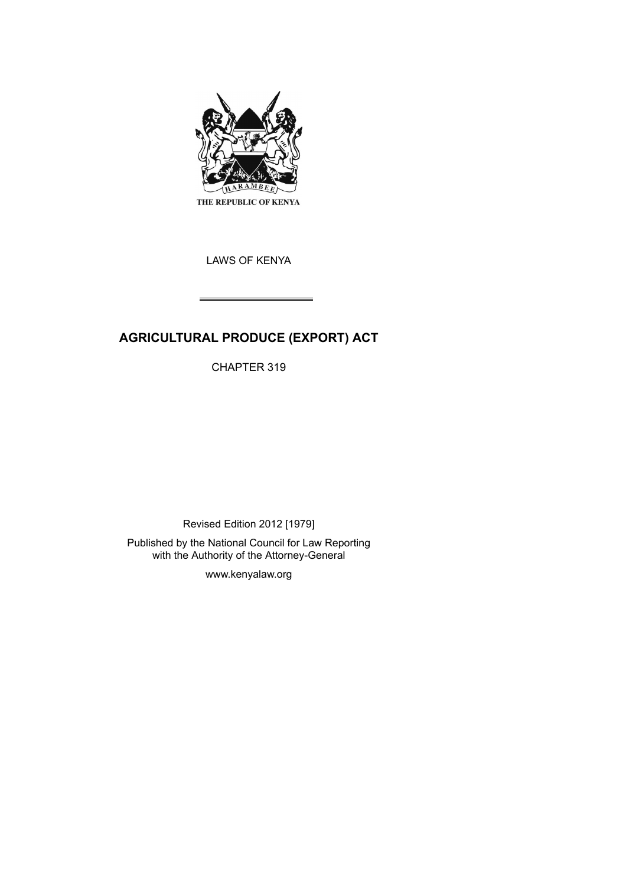

LAWS OF KENYA

# **AGRICULTURAL PRODUCE (EXPORT) ACT**

CHAPTER 319

Revised Edition 2012 [1979]

Published by the National Council for Law Reporting with the Authority of the Attorney-General

www.kenyalaw.org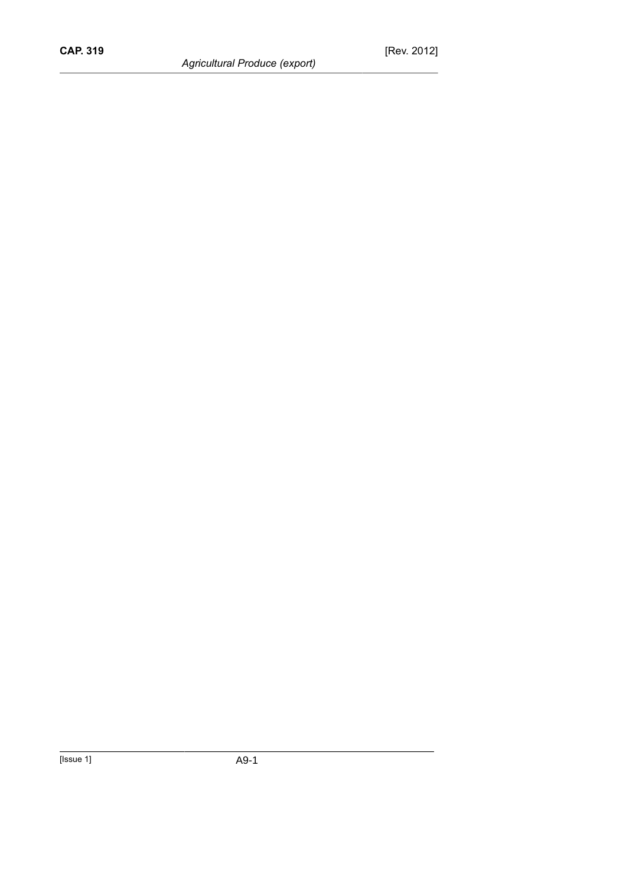*Agricultural Produce (export)*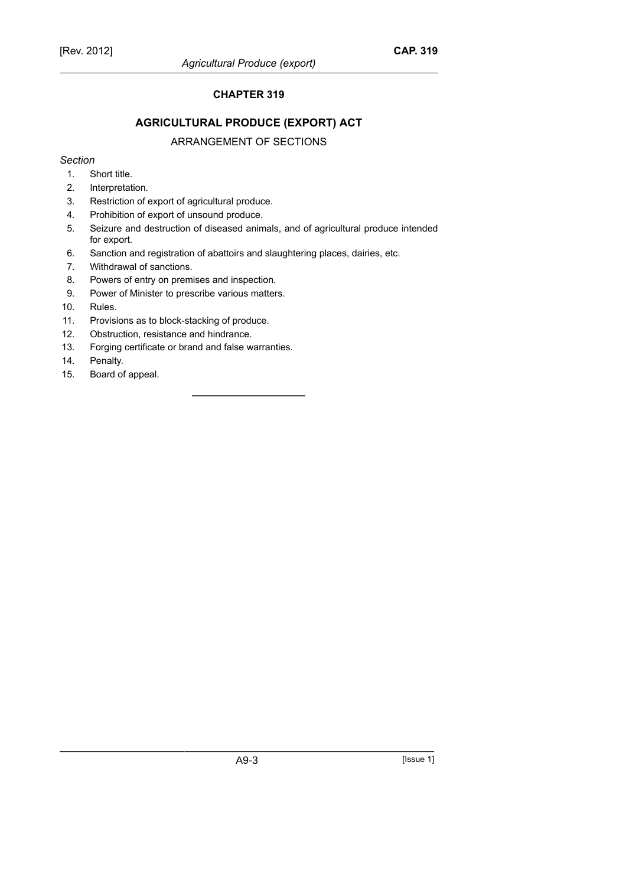# **CHAPTER 319**

# **AGRICULTURAL PRODUCE (EXPORT) ACT**

# ARRANGEMENT OF SECTIONS

## *Section*

- 1. Short title.
- 2. Interpretation.
- 3. Restriction of export of agricultural produce.
- 4. Prohibition of export of unsound produce.
- 5. Seizure and destruction of diseased animals, and of agricultural produce intended for export.
- 6. Sanction and registration of abattoirs and slaughtering places, dairies, etc.
- 7. Withdrawal of sanctions.
- 8. Powers of entry on premises and inspection.
- 9. Power of Minister to prescribe various matters.
- 10. Rules.
- 11. Provisions as to block-stacking of produce.
- 12. Obstruction, resistance and hindrance.
- 13. Forging certificate or brand and false warranties.
- 14. Penalty.
- 15. Board of appeal.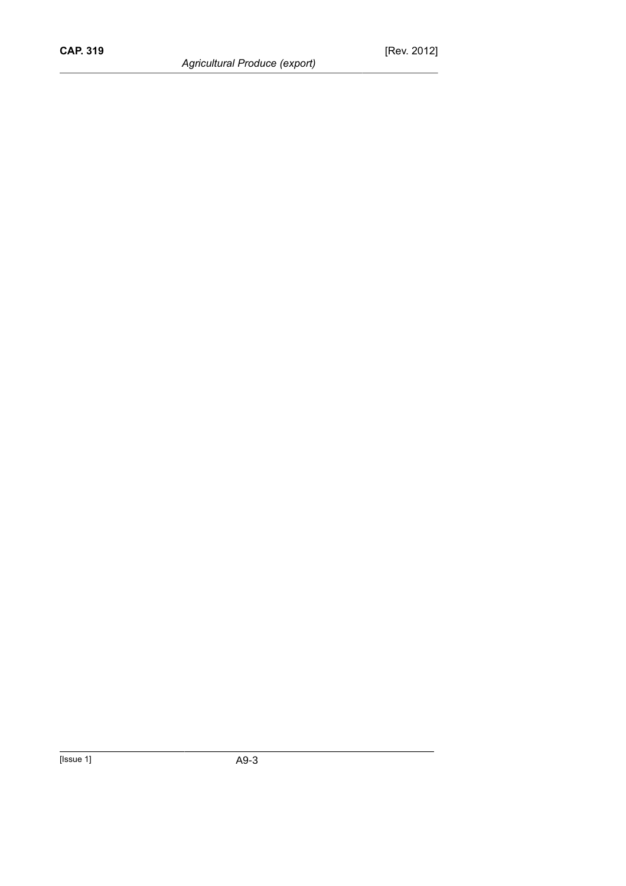*Agricultural Produce (export)*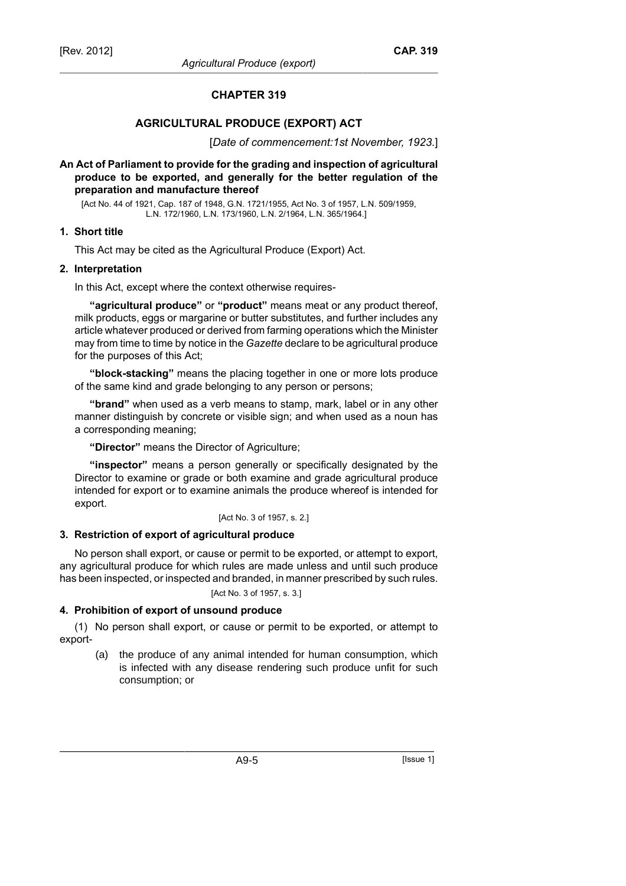# **CHAPTER 319**

## **AGRICULTURAL PRODUCE (EXPORT) ACT**

[*Date of commencement:1st November, 1923.*]

#### **An Act of Parliament to provide for the grading and inspection of agricultural produce to be exported, and generally for the better regulation of the preparation and manufacture thereof**

[Act No. 44 of 1921, Cap. 187 of 1948, G.N. 1721/1955, Act No. 3 of 1957, L.N. 509/1959, L.N. 172/1960, L.N. 173/1960, L.N. 2/1964, L.N. 365/1964.]

#### **1. Short title**

This Act may be cited as the Agricultural Produce (Export) Act.

#### **2. Interpretation**

In this Act, except where the context otherwise requires-

**"agricultural produce"** or **"product"** means meat or any product thereof, milk products, eggs or margarine or butter substitutes, and further includes any article whatever produced or derived from farming operations which the Minister may from time to time by notice in the *Gazette* declare to be agricultural produce for the purposes of this Act;

**"block-stacking"** means the placing together in one or more lots produce of the same kind and grade belonging to any person or persons;

**"brand"** when used as a verb means to stamp, mark, label or in any other manner distinguish by concrete or visible sign; and when used as a noun has a corresponding meaning;

**"Director"** means the Director of Agriculture;

**"inspector"** means a person generally or specifically designated by the Director to examine or grade or both examine and grade agricultural produce intended for export or to examine animals the produce whereof is intended for export.

[Act No. 3 of 1957, s. 2.]

## **3. Restriction of export of agricultural produce**

No person shall export, or cause or permit to be exported, or attempt to export, any agricultural produce for which rules are made unless and until such produce has been inspected, or inspected and branded, in manner prescribed by such rules.

[Act No. 3 of 1957, s. 3.]

## **4. Prohibition of export of unsound produce**

(1) No person shall export, or cause or permit to be exported, or attempt to export-

(a) the produce of any animal intended for human consumption, which is infected with any disease rendering such produce unfit for such consumption; or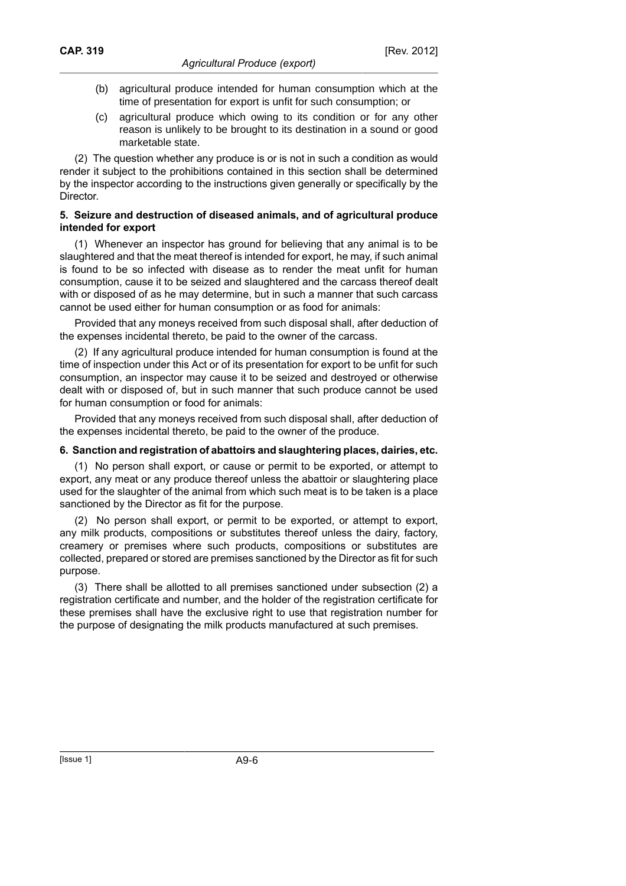- (b) agricultural produce intended for human consumption which at the time of presentation for export is unfit for such consumption; or
- (c) agricultural produce which owing to its condition or for any other reason is unlikely to be brought to its destination in a sound or good marketable state.

(2) The question whether any produce is or is not in such a condition as would render it subject to the prohibitions contained in this section shall be determined by the inspector according to the instructions given generally or specifically by the Director.

## **5. Seizure and destruction of diseased animals, and of agricultural produce intended for export**

(1) Whenever an inspector has ground for believing that any animal is to be slaughtered and that the meat thereof is intended for export, he may, if such animal is found to be so infected with disease as to render the meat unfit for human consumption, cause it to be seized and slaughtered and the carcass thereof dealt with or disposed of as he may determine, but in such a manner that such carcass cannot be used either for human consumption or as food for animals:

Provided that any moneys received from such disposal shall, after deduction of the expenses incidental thereto, be paid to the owner of the carcass.

(2) If any agricultural produce intended for human consumption is found at the time of inspection under this Act or of its presentation for export to be unfit for such consumption, an inspector may cause it to be seized and destroyed or otherwise dealt with or disposed of, but in such manner that such produce cannot be used for human consumption or food for animals:

Provided that any moneys received from such disposal shall, after deduction of the expenses incidental thereto, be paid to the owner of the produce.

## **6. Sanction and registration of abattoirs and slaughtering places, dairies, etc.**

(1) No person shall export, or cause or permit to be exported, or attempt to export, any meat or any produce thereof unless the abattoir or slaughtering place used for the slaughter of the animal from which such meat is to be taken is a place sanctioned by the Director as fit for the purpose.

(2) No person shall export, or permit to be exported, or attempt to export, any milk products, compositions or substitutes thereof unless the dairy, factory, creamery or premises where such products, compositions or substitutes are collected, prepared or stored are premises sanctioned by the Director as fit for such purpose.

(3) There shall be allotted to all premises sanctioned under subsection (2) a registration certificate and number, and the holder of the registration certificate for these premises shall have the exclusive right to use that registration number for the purpose of designating the milk products manufactured at such premises.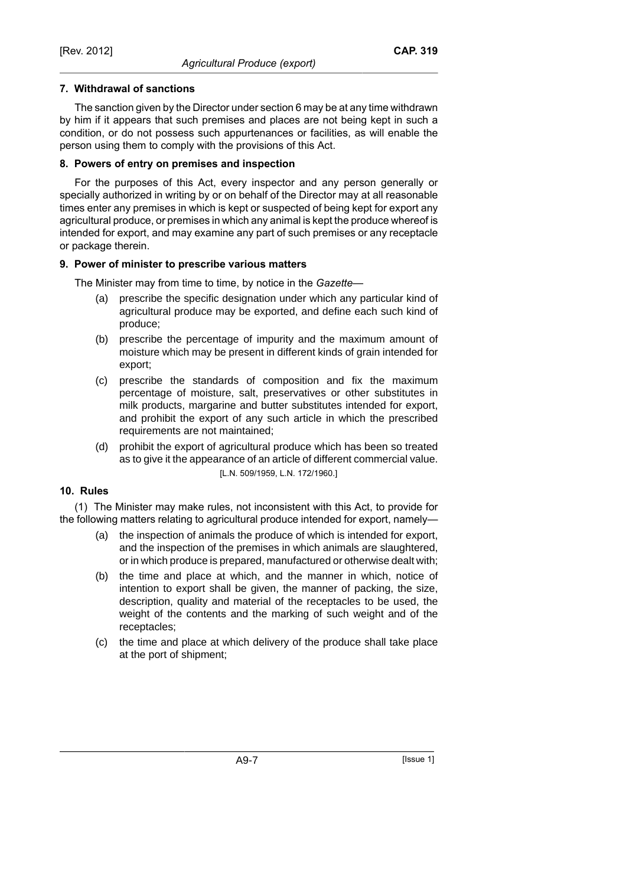# **7. Withdrawal of sanctions**

The sanction given by the Director under section 6 may be at any time withdrawn by him if it appears that such premises and places are not being kept in such a condition, or do not possess such appurtenances or facilities, as will enable the person using them to comply with the provisions of this Act.

## **8. Powers of entry on premises and inspection**

For the purposes of this Act, every inspector and any person generally or specially authorized in writing by or on behalf of the Director may at all reasonable times enter any premises in which is kept or suspected of being kept for export any agricultural produce, or premises in which any animal is kept the produce whereof is intended for export, and may examine any part of such premises or any receptacle or package therein.

## **9. Power of minister to prescribe various matters**

The Minister may from time to time, by notice in the *Gazette*—

- (a) prescribe the specific designation under which any particular kind of agricultural produce may be exported, and define each such kind of produce;
- (b) prescribe the percentage of impurity and the maximum amount of moisture which may be present in different kinds of grain intended for export;
- (c) prescribe the standards of composition and fix the maximum percentage of moisture, salt, preservatives or other substitutes in milk products, margarine and butter substitutes intended for export, and prohibit the export of any such article in which the prescribed requirements are not maintained;
- (d) prohibit the export of agricultural produce which has been so treated as to give it the appearance of an article of different commercial value. [L.N. 509/1959, L.N. 172/1960.]

# **10. Rules**

(1) The Minister may make rules, not inconsistent with this Act, to provide for the following matters relating to agricultural produce intended for export, namely—

- (a) the inspection of animals the produce of which is intended for export, and the inspection of the premises in which animals are slaughtered, or in which produce is prepared, manufactured or otherwise dealt with;
- (b) the time and place at which, and the manner in which, notice of intention to export shall be given, the manner of packing, the size, description, quality and material of the receptacles to be used, the weight of the contents and the marking of such weight and of the receptacles;
- (c) the time and place at which delivery of the produce shall take place at the port of shipment;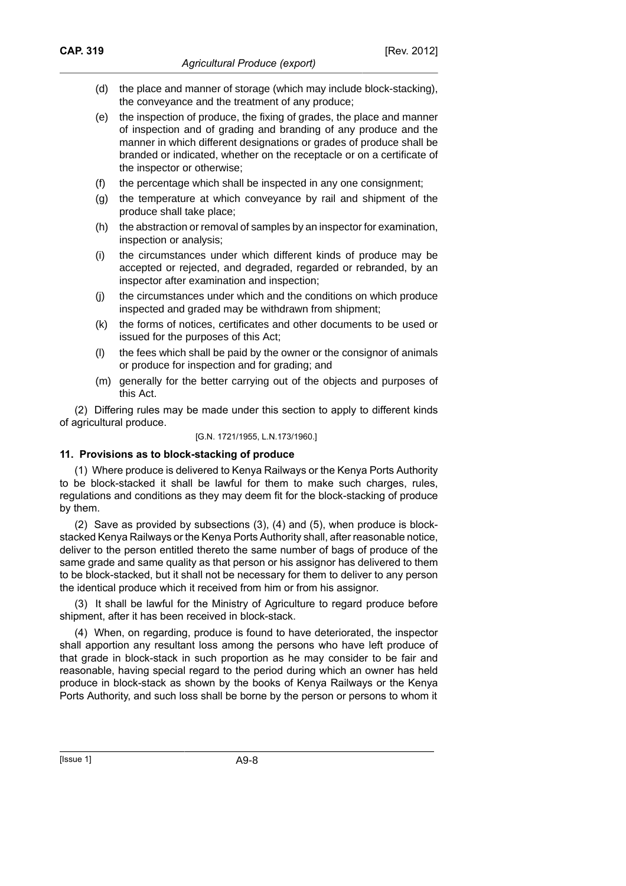- (d) the place and manner of storage (which may include block-stacking), the conveyance and the treatment of any produce;
- (e) the inspection of produce, the fixing of grades, the place and manner of inspection and of grading and branding of any produce and the manner in which different designations or grades of produce shall be branded or indicated, whether on the receptacle or on a certificate of the inspector or otherwise;
- (f) the percentage which shall be inspected in any one consignment;
- (g) the temperature at which conveyance by rail and shipment of the produce shall take place;
- (h) the abstraction or removal of samples by an inspector for examination, inspection or analysis;
- (i) the circumstances under which different kinds of produce may be accepted or rejected, and degraded, regarded or rebranded, by an inspector after examination and inspection;
- (j) the circumstances under which and the conditions on which produce inspected and graded may be withdrawn from shipment;
- (k) the forms of notices, certificates and other documents to be used or issued for the purposes of this Act;
- (l) the fees which shall be paid by the owner or the consignor of animals or produce for inspection and for grading; and
- (m) generally for the better carrying out of the objects and purposes of this Act.

(2) Differing rules may be made under this section to apply to different kinds of agricultural produce.

#### [G.N. 1721/1955, L.N.173/1960.]

## **11. Provisions as to block-stacking of produce**

(1) Where produce is delivered to Kenya Railways or the Kenya Ports Authority to be block-stacked it shall be lawful for them to make such charges, rules, regulations and conditions as they may deem fit for the block-stacking of produce by them.

(2) Save as provided by subsections (3), (4) and (5), when produce is blockstacked Kenya Railways or the Kenya Ports Authority shall, after reasonable notice, deliver to the person entitled thereto the same number of bags of produce of the same grade and same quality as that person or his assignor has delivered to them to be block-stacked, but it shall not be necessary for them to deliver to any person the identical produce which it received from him or from his assignor.

(3) It shall be lawful for the Ministry of Agriculture to regard produce before shipment, after it has been received in block-stack.

(4) When, on regarding, produce is found to have deteriorated, the inspector shall apportion any resultant loss among the persons who have left produce of that grade in block-stack in such proportion as he may consider to be fair and reasonable, having special regard to the period during which an owner has held produce in block-stack as shown by the books of Kenya Railways or the Kenya Ports Authority, and such loss shall be borne by the person or persons to whom it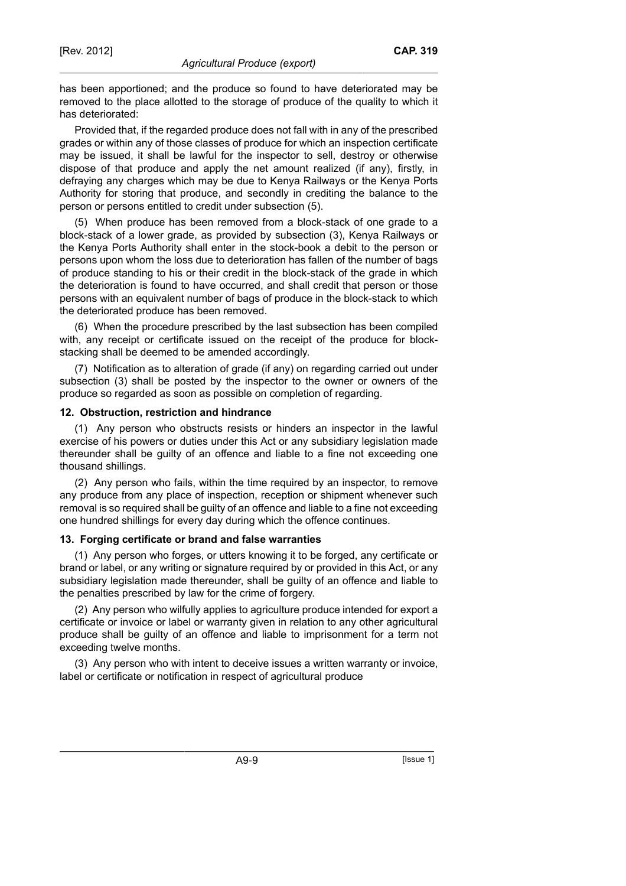has been apportioned; and the produce so found to have deteriorated may be removed to the place allotted to the storage of produce of the quality to which it has deteriorated:

Provided that, if the regarded produce does not fall with in any of the prescribed grades or within any of those classes of produce for which an inspection certificate may be issued, it shall be lawful for the inspector to sell, destroy or otherwise dispose of that produce and apply the net amount realized (if any), firstly, in defraying any charges which may be due to Kenya Railways or the Kenya Ports Authority for storing that produce, and secondly in crediting the balance to the person or persons entitled to credit under subsection (5).

(5) When produce has been removed from a block-stack of one grade to a block-stack of a lower grade, as provided by subsection (3), Kenya Railways or the Kenya Ports Authority shall enter in the stock-book a debit to the person or persons upon whom the loss due to deterioration has fallen of the number of bags of produce standing to his or their credit in the block-stack of the grade in which the deterioration is found to have occurred, and shall credit that person or those persons with an equivalent number of bags of produce in the block-stack to which the deteriorated produce has been removed.

(6) When the procedure prescribed by the last subsection has been compiled with, any receipt or certificate issued on the receipt of the produce for blockstacking shall be deemed to be amended accordingly.

(7) Notification as to alteration of grade (if any) on regarding carried out under subsection (3) shall be posted by the inspector to the owner or owners of the produce so regarded as soon as possible on completion of regarding.

#### **12. Obstruction, restriction and hindrance**

(1) Any person who obstructs resists or hinders an inspector in the lawful exercise of his powers or duties under this Act or any subsidiary legislation made thereunder shall be guilty of an offence and liable to a fine not exceeding one thousand shillings.

(2) Any person who fails, within the time required by an inspector, to remove any produce from any place of inspection, reception or shipment whenever such removal is so required shall be guilty of an offence and liable to a fine not exceeding one hundred shillings for every day during which the offence continues.

## **13. Forging certificate or brand and false warranties**

(1) Any person who forges, or utters knowing it to be forged, any certificate or brand or label, or any writing or signature required by or provided in this Act, or any subsidiary legislation made thereunder, shall be guilty of an offence and liable to the penalties prescribed by law for the crime of forgery.

(2) Any person who wilfully applies to agriculture produce intended for export a certificate or invoice or label or warranty given in relation to any other agricultural produce shall be guilty of an offence and liable to imprisonment for a term not exceeding twelve months.

(3) Any person who with intent to deceive issues a written warranty or invoice, label or certificate or notification in respect of agricultural produce